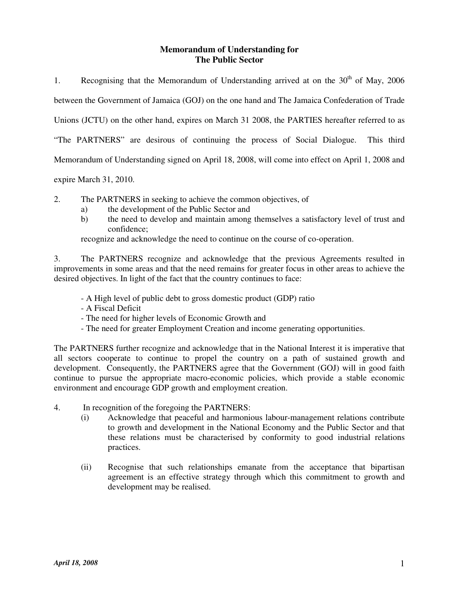# **Memorandum of Understanding for The Public Sector**

1. Recognising that the Memorandum of Understanding arrived at on the  $30<sup>th</sup>$  of May, 2006 between the Government of Jamaica (GOJ) on the one hand and The Jamaica Confederation of Trade Unions (JCTU) on the other hand, expires on March 31 2008, the PARTIES hereafter referred to as "The PARTNERS" are desirous of continuing the process of Social Dialogue. This third Memorandum of Understanding signed on April 18, 2008, will come into effect on April 1, 2008 and

expire March 31, 2010.

- 2. The PARTNERS in seeking to achieve the common objectives, of
	- a) the development of the Public Sector and
	- b) the need to develop and maintain among themselves a satisfactory level of trust and confidence;

recognize and acknowledge the need to continue on the course of co-operation.

3. The PARTNERS recognize and acknowledge that the previous Agreements resulted in improvements in some areas and that the need remains for greater focus in other areas to achieve the desired objectives. In light of the fact that the country continues to face:

- A High level of public debt to gross domestic product (GDP) ratio
- A Fiscal Deficit
- The need for higher levels of Economic Growth and
- The need for greater Employment Creation and income generating opportunities.

The PARTNERS further recognize and acknowledge that in the National Interest it is imperative that all sectors cooperate to continue to propel the country on a path of sustained growth and development. Consequently, the PARTNERS agree that the Government (GOJ) will in good faith continue to pursue the appropriate macro-economic policies, which provide a stable economic environment and encourage GDP growth and employment creation.

- 4. In recognition of the foregoing the PARTNERS:
	- (i) Acknowledge that peaceful and harmonious labour-management relations contribute to growth and development in the National Economy and the Public Sector and that these relations must be characterised by conformity to good industrial relations practices.
	- (ii) Recognise that such relationships emanate from the acceptance that bipartisan agreement is an effective strategy through which this commitment to growth and development may be realised.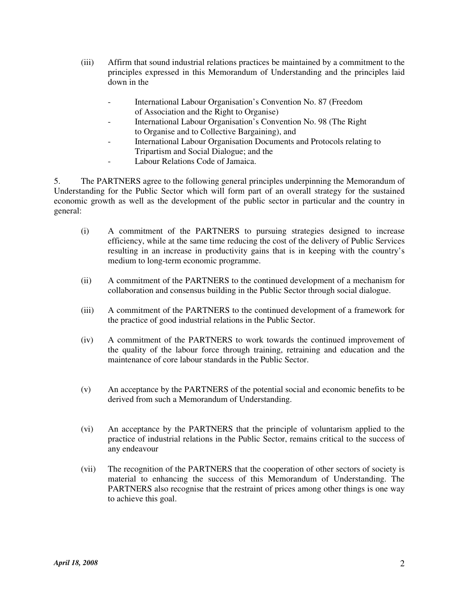- (iii) Affirm that sound industrial relations practices be maintained by a commitment to the principles expressed in this Memorandum of Understanding and the principles laid down in the
	- International Labour Organisation's Convention No. 87 (Freedom of Association and the Right to Organise)
	- International Labour Organisation's Convention No. 98 (The Right to Organise and to Collective Bargaining), and
	- International Labour Organisation Documents and Protocols relating to Tripartism and Social Dialogue; and the
	- Labour Relations Code of Jamaica.

5. The PARTNERS agree to the following general principles underpinning the Memorandum of Understanding for the Public Sector which will form part of an overall strategy for the sustained economic growth as well as the development of the public sector in particular and the country in general:

- (i) A commitment of the PARTNERS to pursuing strategies designed to increase efficiency, while at the same time reducing the cost of the delivery of Public Services resulting in an increase in productivity gains that is in keeping with the country's medium to long-term economic programme.
- (ii) A commitment of the PARTNERS to the continued development of a mechanism for collaboration and consensus building in the Public Sector through social dialogue.
- (iii) A commitment of the PARTNERS to the continued development of a framework for the practice of good industrial relations in the Public Sector.
- (iv) A commitment of the PARTNERS to work towards the continued improvement of the quality of the labour force through training, retraining and education and the maintenance of core labour standards in the Public Sector.
- (v) An acceptance by the PARTNERS of the potential social and economic benefits to be derived from such a Memorandum of Understanding.
- (vi) An acceptance by the PARTNERS that the principle of voluntarism applied to the practice of industrial relations in the Public Sector, remains critical to the success of any endeavour
- (vii) The recognition of the PARTNERS that the cooperation of other sectors of society is material to enhancing the success of this Memorandum of Understanding. The PARTNERS also recognise that the restraint of prices among other things is one way to achieve this goal.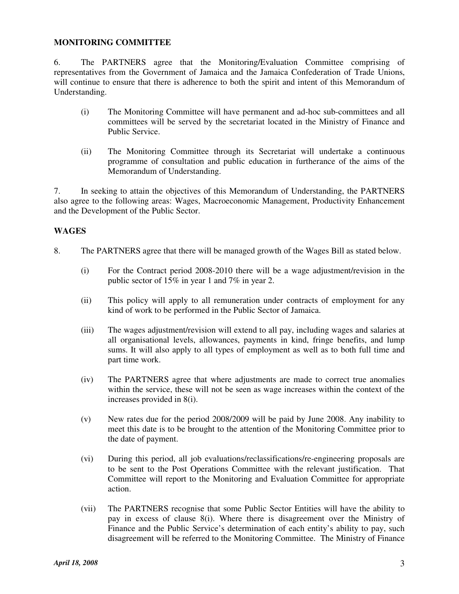### **MONITORING COMMITTEE**

6. The PARTNERS agree that the Monitoring/Evaluation Committee comprising of representatives from the Government of Jamaica and the Jamaica Confederation of Trade Unions, will continue to ensure that there is adherence to both the spirit and intent of this Memorandum of Understanding.

- (i) The Monitoring Committee will have permanent and ad-hoc sub-committees and all committees will be served by the secretariat located in the Ministry of Finance and Public Service.
- (ii) The Monitoring Committee through its Secretariat will undertake a continuous programme of consultation and public education in furtherance of the aims of the Memorandum of Understanding.

7. In seeking to attain the objectives of this Memorandum of Understanding, the PARTNERS also agree to the following areas: Wages, Macroeconomic Management, Productivity Enhancement and the Development of the Public Sector.

### **WAGES**

- 8. The PARTNERS agree that there will be managed growth of the Wages Bill as stated below.
	- (i) For the Contract period 2008-2010 there will be a wage adjustment/revision in the public sector of 15% in year 1 and 7% in year 2.
	- (ii) This policy will apply to all remuneration under contracts of employment for any kind of work to be performed in the Public Sector of Jamaica.
	- (iii) The wages adjustment/revision will extend to all pay, including wages and salaries at all organisational levels, allowances, payments in kind, fringe benefits, and lump sums. It will also apply to all types of employment as well as to both full time and part time work.
	- (iv) The PARTNERS agree that where adjustments are made to correct true anomalies within the service, these will not be seen as wage increases within the context of the increases provided in 8(i).
	- (v) New rates due for the period 2008/2009 will be paid by June 2008. Any inability to meet this date is to be brought to the attention of the Monitoring Committee prior to the date of payment.
	- (vi) During this period, all job evaluations/reclassifications/re-engineering proposals are to be sent to the Post Operations Committee with the relevant justification. That Committee will report to the Monitoring and Evaluation Committee for appropriate action.
	- (vii) The PARTNERS recognise that some Public Sector Entities will have the ability to pay in excess of clause 8(i). Where there is disagreement over the Ministry of Finance and the Public Service's determination of each entity's ability to pay, such disagreement will be referred to the Monitoring Committee. The Ministry of Finance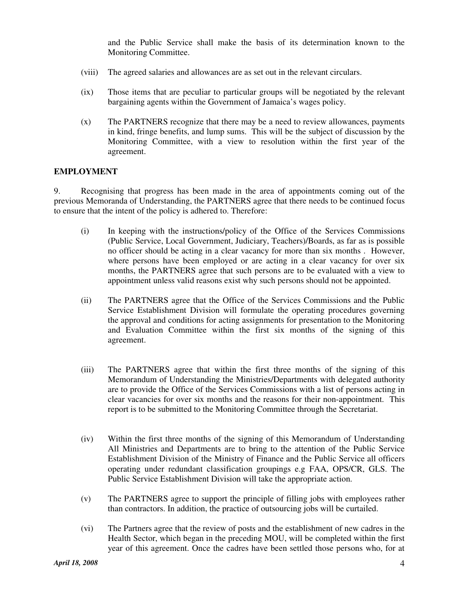and the Public Service shall make the basis of its determination known to the Monitoring Committee.

- (viii) The agreed salaries and allowances are as set out in the relevant circulars.
- (ix) Those items that are peculiar to particular groups will be negotiated by the relevant bargaining agents within the Government of Jamaica's wages policy.
- (x) The PARTNERS recognize that there may be a need to review allowances, payments in kind, fringe benefits, and lump sums. This will be the subject of discussion by the Monitoring Committee, with a view to resolution within the first year of the agreement.

### **EMPLOYMENT**

9. Recognising that progress has been made in the area of appointments coming out of the previous Memoranda of Understanding, the PARTNERS agree that there needs to be continued focus to ensure that the intent of the policy is adhered to. Therefore:

- (i) In keeping with the instructions/policy of the Office of the Services Commissions (Public Service, Local Government, Judiciary, Teachers)/Boards, as far as is possible no officer should be acting in a clear vacancy for more than six months . However, where persons have been employed or are acting in a clear vacancy for over six months, the PARTNERS agree that such persons are to be evaluated with a view to appointment unless valid reasons exist why such persons should not be appointed.
- (ii) The PARTNERS agree that the Office of the Services Commissions and the Public Service Establishment Division will formulate the operating procedures governing the approval and conditions for acting assignments for presentation to the Monitoring and Evaluation Committee within the first six months of the signing of this agreement.
- (iii) The PARTNERS agree that within the first three months of the signing of this Memorandum of Understanding the Ministries/Departments with delegated authority are to provide the Office of the Services Commissions with a list of persons acting in clear vacancies for over six months and the reasons for their non-appointment. This report is to be submitted to the Monitoring Committee through the Secretariat.
- (iv) Within the first three months of the signing of this Memorandum of Understanding All Ministries and Departments are to bring to the attention of the Public Service Establishment Division of the Ministry of Finance and the Public Service all officers operating under redundant classification groupings e.g FAA, OPS/CR, GLS. The Public Service Establishment Division will take the appropriate action.
- (v) The PARTNERS agree to support the principle of filling jobs with employees rather than contractors. In addition, the practice of outsourcing jobs will be curtailed.
- (vi) The Partners agree that the review of posts and the establishment of new cadres in the Health Sector, which began in the preceding MOU, will be completed within the first year of this agreement. Once the cadres have been settled those persons who, for at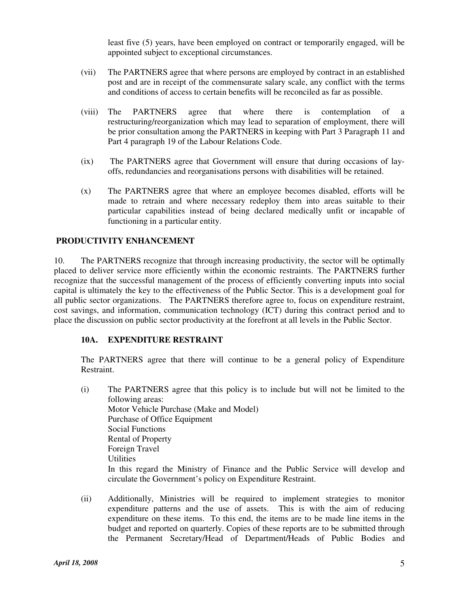least five (5) years, have been employed on contract or temporarily engaged, will be appointed subject to exceptional circumstances.

- (vii) The PARTNERS agree that where persons are employed by contract in an established post and are in receipt of the commensurate salary scale, any conflict with the terms and conditions of access to certain benefits will be reconciled as far as possible.
- (viii) The PARTNERS agree that where there is contemplation of a restructuring/reorganization which may lead to separation of employment, there will be prior consultation among the PARTNERS in keeping with Part 3 Paragraph 11 and Part 4 paragraph 19 of the Labour Relations Code.
- (ix) The PARTNERS agree that Government will ensure that during occasions of lay offs, redundancies and reorganisations persons with disabilities will be retained.
- (x) The PARTNERS agree that where an employee becomes disabled, efforts will be made to retrain and where necessary redeploy them into areas suitable to their particular capabilities instead of being declared medically unfit or incapable of functioning in a particular entity.

# **PRODUCTIVITY ENHANCEMENT**

10. The PARTNERS recognize that through increasing productivity, the sector will be optimally placed to deliver service more efficiently within the economic restraints. The PARTNERS further recognize that the successful management of the process of efficiently converting inputs into social capital is ultimately the key to the effectiveness of the Public Sector. This is a development goal for all public sector organizations. The PARTNERS therefore agree to, focus on expenditure restraint, cost savings, and information, communication technology (ICT) during this contract period and to place the discussion on public sector productivity at the forefront at all levels in the Public Sector.

## **10A. EXPENDITURE RESTRAINT**

The PARTNERS agree that there will continue to be a general policy of Expenditure Restraint.

- (i) The PARTNERS agree that this policy is to include but will not be limited to the following areas: Motor Vehicle Purchase (Make and Model) Purchase of Office Equipment Social Functions Rental of Property Foreign Travel **Utilities** In this regard the Ministry of Finance and the Public Service will develop and circulate the Government's policy on Expenditure Restraint.
- (ii) Additionally, Ministries will be required to implement strategies to monitor expenditure patterns and the use of assets. This is with the aim of reducing expenditure on these items. To this end, the items are to be made line items in the budget and reported on quarterly. Copies of these reports are to be submitted through the Permanent Secretary/Head of Department/Heads of Public Bodies and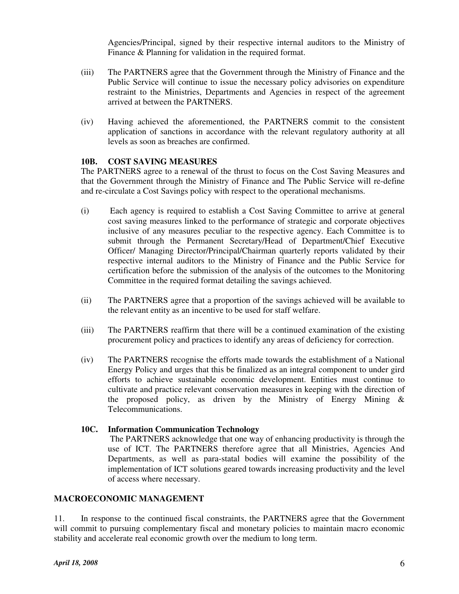Agencies/Principal, signed by their respective internal auditors to the Ministry of Finance & Planning for validation in the required format.

- (iii) The PARTNERS agree that the Government through the Ministry of Finance and the Public Service will continue to issue the necessary policy advisories on expenditure restraint to the Ministries, Departments and Agencies in respect of the agreement arrived at between the PARTNERS.
- (iv) Having achieved the aforementioned, the PARTNERS commit to the consistent application of sanctions in accordance with the relevant regulatory authority at all levels as soon as breaches are confirmed.

## **10B. COST SAVING MEASURES**

The PARTNERS agree to a renewal of the thrust to focus on the Cost Saving Measures and that the Government through the Ministry of Finance and The Public Service will re-define and re-circulate a Cost Savings policy with respect to the operational mechanisms.

- (i) Each agency is required to establish a Cost Saving Committee to arrive at general cost saving measures linked to the performance of strategic and corporate objectives inclusive of any measures peculiar to the respective agency. Each Committee is to submit through the Permanent Secretary/Head of Department/Chief Executive Officer/ Managing Director/Principal/Chairman quarterly reports validated by their respective internal auditors to the Ministry of Finance and the Public Service for certification before the submission of the analysis of the outcomes to the Monitoring Committee in the required format detailing the savings achieved.
- (ii) The PARTNERS agree that a proportion of the savings achieved will be available to the relevant entity as an incentive to be used for staff welfare.
- (iii) The PARTNERS reaffirm that there will be a continued examination of the existing procurement policy and practices to identify any areas of deficiency for correction.
- (iv) The PARTNERS recognise the efforts made towards the establishment of a National Energy Policy and urges that this be finalized as an integral component to under gird efforts to achieve sustainable economic development. Entities must continue to cultivate and practice relevant conservation measures in keeping with the direction of the proposed policy, as driven by the Ministry of Energy Mining & Telecommunications.

## **10C. Information Communication Technology**

 The PARTNERS acknowledge that one way of enhancing productivity is through the use of ICT. The PARTNERS therefore agree that all Ministries, Agencies And Departments, as well as para-statal bodies will examine the possibility of the implementation of ICT solutions geared towards increasing productivity and the level of access where necessary.

### **MACROECONOMIC MANAGEMENT**

11. In response to the continued fiscal constraints, the PARTNERS agree that the Government will commit to pursuing complementary fiscal and monetary policies to maintain macro economic stability and accelerate real economic growth over the medium to long term.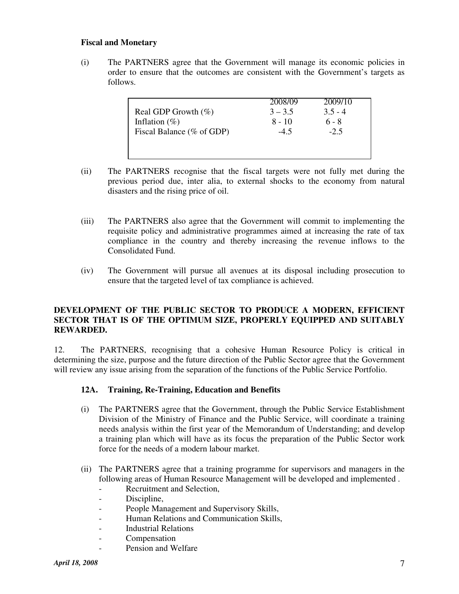### **Fiscal and Monetary**

(i) The PARTNERS agree that the Government will manage its economic policies in order to ensure that the outcomes are consistent with the Government's targets as follows.

|                           | 2008/09   | 2009/10   |
|---------------------------|-----------|-----------|
| Real GDP Growth $(\%)$    | $3 - 3.5$ | $3.5 - 4$ |
| Inflation $(\%)$          | $8 - 10$  | $6 - 8$   |
| Fiscal Balance (% of GDP) | $-4.5$    | $-2.5$    |
|                           |           |           |
|                           |           |           |

- (ii) The PARTNERS recognise that the fiscal targets were not fully met during the previous period due, inter alia, to external shocks to the economy from natural disasters and the rising price of oil.
- (iii) The PARTNERS also agree that the Government will commit to implementing the requisite policy and administrative programmes aimed at increasing the rate of tax compliance in the country and thereby increasing the revenue inflows to the Consolidated Fund.
- (iv) The Government will pursue all avenues at its disposal including prosecution to ensure that the targeted level of tax compliance is achieved.

## **DEVELOPMENT OF THE PUBLIC SECTOR TO PRODUCE A MODERN, EFFICIENT SECTOR THAT IS OF THE OPTIMUM SIZE, PROPERLY EQUIPPED AND SUITABLY REWARDED.**

12. The PARTNERS, recognising that a cohesive Human Resource Policy is critical in determining the size, purpose and the future direction of the Public Sector agree that the Government will review any issue arising from the separation of the functions of the Public Service Portfolio.

## **12A. Training, Re-Training, Education and Benefits**

- (i) The PARTNERS agree that the Government, through the Public Service Establishment Division of the Ministry of Finance and the Public Service, will coordinate a training needs analysis within the first year of the Memorandum of Understanding; and develop a training plan which will have as its focus the preparation of the Public Sector work force for the needs of a modern labour market.
- (ii) The PARTNERS agree that a training programme for supervisors and managers in the following areas of Human Resource Management will be developed and implemented .
	- Recruitment and Selection,
	- Discipline,
	- People Management and Supervisory Skills,
	- Human Relations and Communication Skills,
	- Industrial Relations
	- **Compensation**
	- Pension and Welfare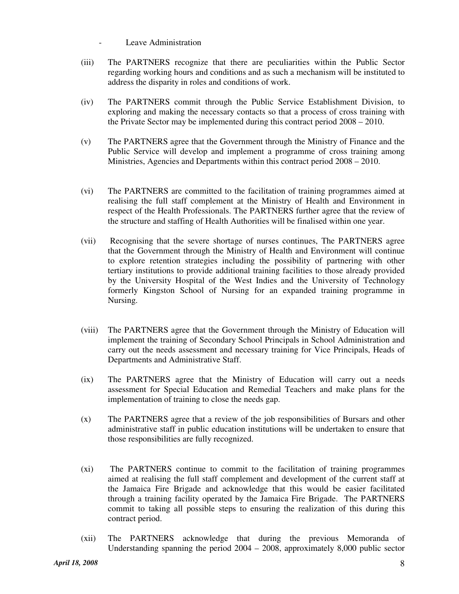- Leave Administration
- (iii) The PARTNERS recognize that there are peculiarities within the Public Sector regarding working hours and conditions and as such a mechanism will be instituted to address the disparity in roles and conditions of work.
- (iv) The PARTNERS commit through the Public Service Establishment Division, to exploring and making the necessary contacts so that a process of cross training with the Private Sector may be implemented during this contract period 2008 – 2010.
- (v) The PARTNERS agree that the Government through the Ministry of Finance and the Public Service will develop and implement a programme of cross training among Ministries, Agencies and Departments within this contract period 2008 – 2010.
- (vi) The PARTNERS are committed to the facilitation of training programmes aimed at realising the full staff complement at the Ministry of Health and Environment in respect of the Health Professionals. The PARTNERS further agree that the review of the structure and staffing of Health Authorities will be finalised within one year.
- (vii) Recognising that the severe shortage of nurses continues, The PARTNERS agree that the Government through the Ministry of Health and Environment will continue to explore retention strategies including the possibility of partnering with other tertiary institutions to provide additional training facilities to those already provided by the University Hospital of the West Indies and the University of Technology formerly Kingston School of Nursing for an expanded training programme in Nursing.
- (viii) The PARTNERS agree that the Government through the Ministry of Education will implement the training of Secondary School Principals in School Administration and carry out the needs assessment and necessary training for Vice Principals, Heads of Departments and Administrative Staff.
- (ix) The PARTNERS agree that the Ministry of Education will carry out a needs assessment for Special Education and Remedial Teachers and make plans for the implementation of training to close the needs gap.
- (x) The PARTNERS agree that a review of the job responsibilities of Bursars and other administrative staff in public education institutions will be undertaken to ensure that those responsibilities are fully recognized.
- (xi) The PARTNERS continue to commit to the facilitation of training programmes aimed at realising the full staff complement and development of the current staff at the Jamaica Fire Brigade and acknowledge that this would be easier facilitated through a training facility operated by the Jamaica Fire Brigade. The PARTNERS commit to taking all possible steps to ensuring the realization of this during this contract period.
- (xii) The PARTNERS acknowledge that during the previous Memoranda of Understanding spanning the period 2004 – 2008, approximately 8,000 public sector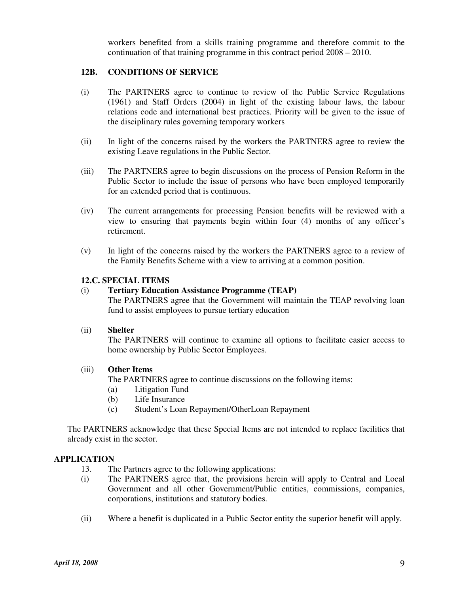workers benefited from a skills training programme and therefore commit to the continuation of that training programme in this contract period 2008 – 2010.

### **12B. CONDITIONS OF SERVICE**

- (i) The PARTNERS agree to continue to review of the Public Service Regulations (1961) and Staff Orders (2004) in light of the existing labour laws, the labour relations code and international best practices. Priority will be given to the issue of the disciplinary rules governing temporary workers
- (ii) In light of the concerns raised by the workers the PARTNERS agree to review the existing Leave regulations in the Public Sector.
- (iii) The PARTNERS agree to begin discussions on the process of Pension Reform in the Public Sector to include the issue of persons who have been employed temporarily for an extended period that is continuous.
- (iv) The current arrangements for processing Pension benefits will be reviewed with a view to ensuring that payments begin within four (4) months of any officer's retirement.
- (v) In light of the concerns raised by the workers the PARTNERS agree to a review of the Family Benefits Scheme with a view to arriving at a common position.

### **12.C. SPECIAL ITEMS**

### (i) **Tertiary Education Assistance Programme (TEAP)**

The PARTNERS agree that the Government will maintain the TEAP revolving loan fund to assist employees to pursue tertiary education

#### (ii) **Shelter**

The PARTNERS will continue to examine all options to facilitate easier access to home ownership by Public Sector Employees.

### (iii) **Other Items**

The PARTNERS agree to continue discussions on the following items:

- (a) Litigation Fund
- (b) Life Insurance
- (c) Student's Loan Repayment/OtherLoan Repayment

The PARTNERS acknowledge that these Special Items are not intended to replace facilities that already exist in the sector.

### **APPLICATION**

- 13. The Partners agree to the following applications:
- (i) The PARTNERS agree that, the provisions herein will apply to Central and Local Government and all other Government/Public entities, commissions, companies, corporations, institutions and statutory bodies.
- (ii) Where a benefit is duplicated in a Public Sector entity the superior benefit will apply.